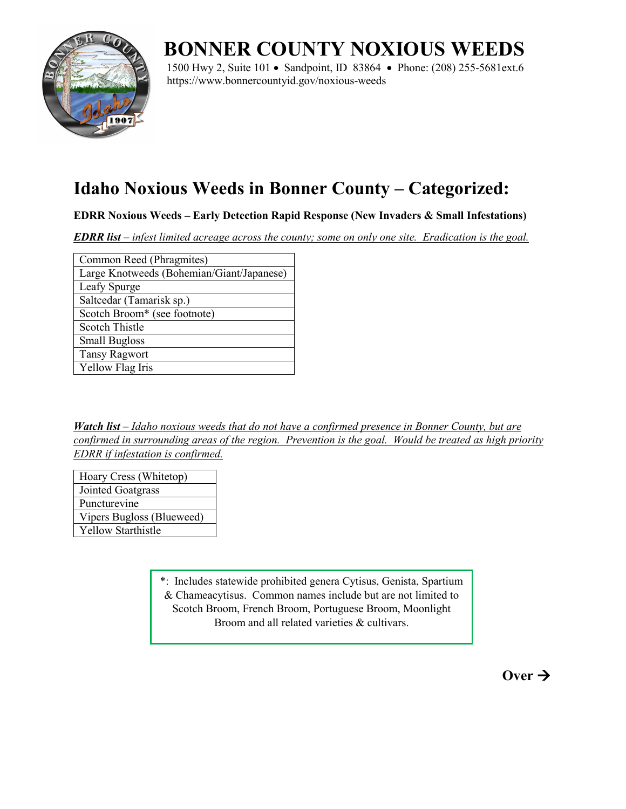

## **BONNER COUNTY NOXIOUS WEEDS**

1500 Hwy 2, Suite 101 • Sandpoint, ID 83864 • Phone: (208) 255-5681ext.6 https://www.bonnercountyid.gov/noxious-weeds

## **Idaho Noxious Weeds in Bonner County – Categorized:**

**EDRR Noxious Weeds – Early Detection Rapid Response (New Invaders & Small Infestations)**

*EDRR list – infest limited acreage across the county; some on only one site. Eradication is the goal.*

| Common Reed (Phragmites)                  |
|-------------------------------------------|
| Large Knotweeds (Bohemian/Giant/Japanese) |
| Leafy Spurge                              |
| Saltcedar (Tamarisk sp.)                  |
| Scotch Broom* (see footnote)              |
| <b>Scotch Thistle</b>                     |
| <b>Small Bugloss</b>                      |
| <b>Tansy Ragwort</b>                      |
| Yellow Flag Iris                          |

*Watch list – Idaho noxious weeds that do not have a confirmed presence in Bonner County, but are confirmed in surrounding areas of the region. Prevention is the goal. Would be treated as high priority EDRR if infestation is confirmed.*

Hoary Cress (Whitetop) Jointed Goatgrass Puncturevine Vipers Bugloss (Blueweed) Yellow Starthistle

> \*: Includes statewide prohibited genera Cytisus, Genista, Spartium & Chameacytisus. Common names include but are not limited to Scotch Broom, French Broom, Portuguese Broom, Moonlight Broom and all related varieties & cultivars.

> > $\overrightarrow{O}$ ver  $\rightarrow$